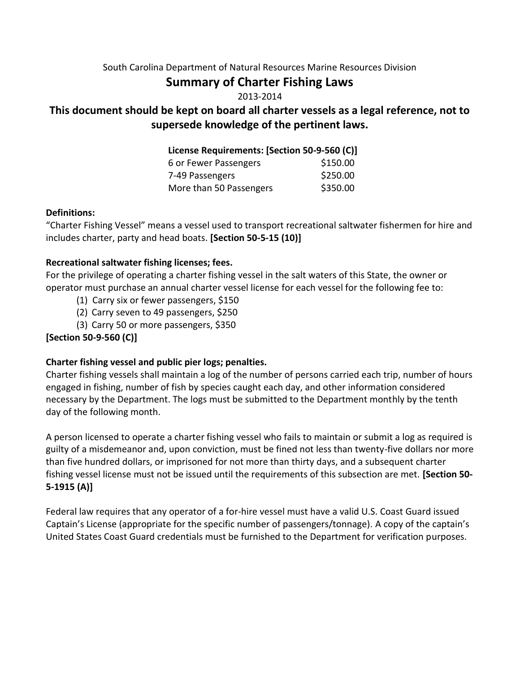#### South Carolina Department of Natural Resources Marine Resources Division

# **Summary of Charter Fishing Laws**

#### 2013-2014

# **This document should be kept on board all charter vessels as a legal reference, not to supersede knowledge of the pertinent laws.**

#### **License Requirements: [Section 50-9-560 (C)]**

| 6 or Fewer Passengers   | \$150.00 |
|-------------------------|----------|
| 7-49 Passengers         | \$250.00 |
| More than 50 Passengers | \$350.00 |

#### **Definitions:**

"Charter Fishing Vessel" means a vessel used to transport recreational saltwater fishermen for hire and includes charter, party and head boats. **[Section 50-5-15 (10)]**

#### **Recreational saltwater fishing licenses; fees.**

For the privilege of operating a charter fishing vessel in the salt waters of this State, the owner or operator must purchase an annual charter vessel license for each vessel for the following fee to:

- (1) Carry six or fewer passengers, \$150
- (2) Carry seven to 49 passengers, \$250
- (3) Carry 50 or more passengers, \$350

## **[Section 50-9-560 (C)]**

## **Charter fishing vessel and public pier logs; penalties.**

Charter fishing vessels shall maintain a log of the number of persons carried each trip, number of hours engaged in fishing, number of fish by species caught each day, and other information considered necessary by the Department. The logs must be submitted to the Department monthly by the tenth day of the following month.

A person licensed to operate a charter fishing vessel who fails to maintain or submit a log as required is guilty of a misdemeanor and, upon conviction, must be fined not less than twenty-five dollars nor more than five hundred dollars, or imprisoned for not more than thirty days, and a subsequent charter fishing vessel license must not be issued until the requirements of this subsection are met. **[Section 50- 5-1915 (A)]**

Federal law requires that any operator of a for-hire vessel must have a valid U.S. Coast Guard issued Captain's License (appropriate for the specific number of passengers/tonnage). A copy of the captain's United States Coast Guard credentials must be furnished to the Department for verification purposes.